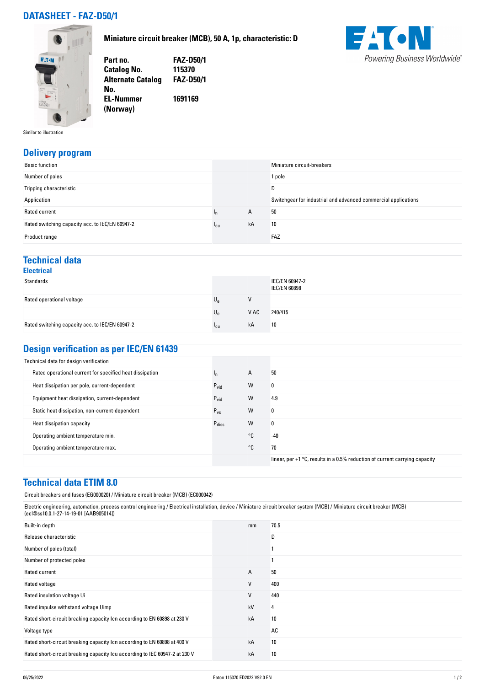### **DATASHEET - FAZ-D50/1**

**Miniature circuit breaker (MCB), 50 A, 1p, characteristic: D**





**Part no. FAZ-D50/1 Catalog No. 115370 Alternate Catalog FAZ-D50/1 No. EL-Nummer (Norway) 1691169**

Similar to illustration

#### **Delivery program**

|                 |    | Miniature circuit-breakers                                     |
|-----------------|----|----------------------------------------------------------------|
|                 |    | 1 pole                                                         |
|                 |    | D                                                              |
|                 |    | Switchgear for industrial and advanced commercial applications |
| 'n              | A  | 50                                                             |
| <sup>1</sup> cu | kA | 10                                                             |
|                 |    | FAZ                                                            |
|                 |    |                                                                |

#### **Technical data Electrical**

| LIGUU IUQI                                      |             |      |                                       |
|-------------------------------------------------|-------------|------|---------------------------------------|
| Standards                                       |             |      | IEC/EN 60947-2<br><b>IEC/EN 60898</b> |
| Rated operational voltage                       | Uρ          | V    |                                       |
|                                                 | $U_{\rm e}$ | V AC | 240/415                               |
| Rated switching capacity acc. to IEC/EN 60947-2 | 'cu         | kA   | 10                                    |

#### **Design verification as per IEC/EN 61439**

| Technical data for design verification                   |                   |    |                                                                                         |
|----------------------------------------------------------|-------------------|----|-----------------------------------------------------------------------------------------|
| Rated operational current for specified heat dissipation | In.               | А  | 50                                                                                      |
| Heat dissipation per pole, current-dependent             | $P_{\text{vid}}$  | W  | 0                                                                                       |
| Equipment heat dissipation, current-dependent            | $P_{\text{vid}}$  | W  | 4.9                                                                                     |
| Static heat dissipation, non-current-dependent           | $P_{VS}$          | W  | 0                                                                                       |
| Heat dissipation capacity                                | $P_{\text{diss}}$ | W  | 0                                                                                       |
| Operating ambient temperature min.                       |                   | °C | $-40$                                                                                   |
| Operating ambient temperature max.                       |                   | °C | 70                                                                                      |
|                                                          |                   |    | linear, per $+1$ $^{\circ}$ C, results in a 0.5% reduction of current carrying capacity |

#### **Technical data ETIM 8.0**

| Circuit breakers and fuses (EG000020) / Miniature circuit breaker (MCB) (EC000042)                                                                                                                                   |                |      |
|----------------------------------------------------------------------------------------------------------------------------------------------------------------------------------------------------------------------|----------------|------|
| Electric engineering, automation, process control engineering / Electrical installation, device / Miniature circuit breaker system (MCB) / Miniature circuit breaker (MCB)<br>(ecl@ss10.0.1-27-14-19-01 [AAB905014]) |                |      |
| Built-in depth                                                                                                                                                                                                       | mm             | 70.5 |
| Release characteristic                                                                                                                                                                                               |                | D    |
| Number of poles (total)                                                                                                                                                                                              |                |      |
| Number of protected poles                                                                                                                                                                                            |                |      |
| Rated current                                                                                                                                                                                                        | $\overline{A}$ | 50   |
| Rated voltage                                                                                                                                                                                                        | V              | 400  |
| Rated insulation voltage Ui                                                                                                                                                                                          | V              | 440  |
| Rated impulse withstand voltage Uimp                                                                                                                                                                                 | kV             | 4    |
| Rated short-circuit breaking capacity Icn according to EN 60898 at 230 V                                                                                                                                             | kA             | 10   |
| Voltage type                                                                                                                                                                                                         |                | AC   |
| Rated short-circuit breaking capacity Icn according to EN 60898 at 400 V                                                                                                                                             | kA             | 10   |
| Rated short-circuit breaking capacity Icu according to IEC 60947-2 at 230 V                                                                                                                                          | kA             | 10   |